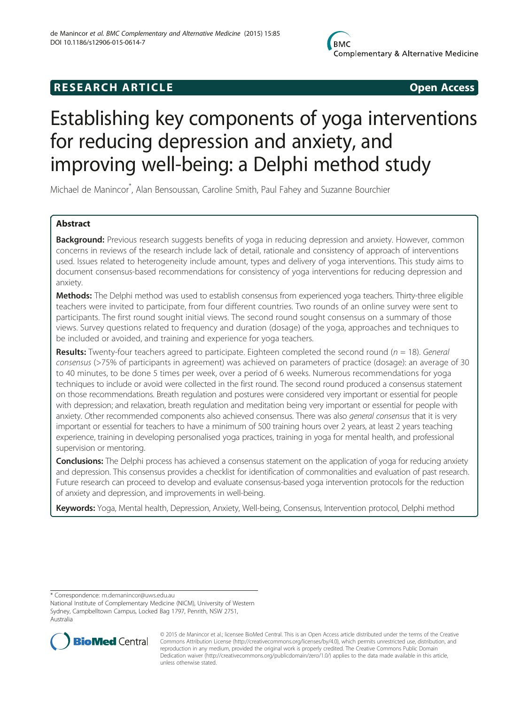## R E S EAR CH A R TIC L E Open Access

# Establishing key components of yoga interventions for reducing depression and anxiety, and improving well-being: a Delphi method study

Michael de Manincor\* , Alan Bensoussan, Caroline Smith, Paul Fahey and Suzanne Bourchier

### Abstract

Background: Previous research suggests benefits of yoga in reducing depression and anxiety. However, common concerns in reviews of the research include lack of detail, rationale and consistency of approach of interventions used. Issues related to heterogeneity include amount, types and delivery of yoga interventions. This study aims to document consensus-based recommendations for consistency of yoga interventions for reducing depression and anxiety.

Methods: The Delphi method was used to establish consensus from experienced yoga teachers. Thirty-three eligible teachers were invited to participate, from four different countries. Two rounds of an online survey were sent to participants. The first round sought initial views. The second round sought consensus on a summary of those views. Survey questions related to frequency and duration (dosage) of the yoga, approaches and techniques to be included or avoided, and training and experience for yoga teachers.

**Results:** Twenty-four teachers agreed to participate. Eighteen completed the second round ( $n = 18$ ). General consensus (>75% of participants in agreement) was achieved on parameters of practice (dosage): an average of 30 to 40 minutes, to be done 5 times per week, over a period of 6 weeks. Numerous recommendations for yoga techniques to include or avoid were collected in the first round. The second round produced a consensus statement on those recommendations. Breath regulation and postures were considered very important or essential for people with depression; and relaxation, breath regulation and meditation being very important or essential for people with anxiety. Other recommended components also achieved consensus. There was also general consensus that it is very important or essential for teachers to have a minimum of 500 training hours over 2 years, at least 2 years teaching experience, training in developing personalised yoga practices, training in yoga for mental health, and professional supervision or mentoring.

Conclusions: The Delphi process has achieved a consensus statement on the application of yoga for reducing anxiety and depression. This consensus provides a checklist for identification of commonalities and evaluation of past research. Future research can proceed to develop and evaluate consensus-based yoga intervention protocols for the reduction of anxiety and depression, and improvements in well-being.

Keywords: Yoga, Mental health, Depression, Anxiety, Well-being, Consensus, Intervention protocol, Delphi method

\* Correspondence: [m.demanincor@uws.edu.au](mailto:m.demanincor@uws.edu.au)

National Institute of Complementary Medicine (NICM), University of Western Sydney, Campbelltown Campus, Locked Bag 1797, Penrith, NSW 2751, Australia



© 2015 de Manincor et al.; licensee BioMed Central. This is an Open Access article distributed under the terms of the Creative Commons Attribution License [\(http://creativecommons.org/licenses/by/4.0\)](http://creativecommons.org/licenses/by/4.0), which permits unrestricted use, distribution, and reproduction in any medium, provided the original work is properly credited. The Creative Commons Public Domain Dedication waiver [\(http://creativecommons.org/publicdomain/zero/1.0/](http://creativecommons.org/publicdomain/zero/1.0/)) applies to the data made available in this article, unless otherwise stated.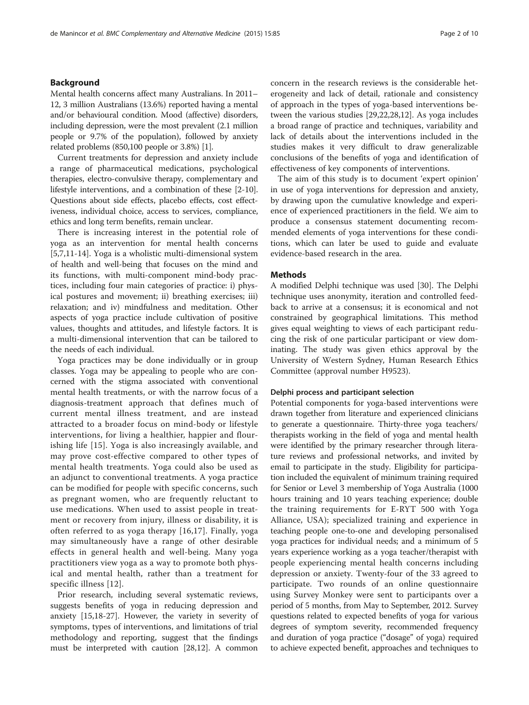#### Background

Mental health concerns affect many Australians. In 2011– 12, 3 million Australians (13.6%) reported having a mental and/or behavioural condition. Mood (affective) disorders, including depression, were the most prevalent (2.1 million people or 9.7% of the population), followed by anxiety related problems (850,100 people or 3.8%) [\[1](#page-8-0)].

Current treatments for depression and anxiety include a range of pharmaceutical medications, psychological therapies, electro-convulsive therapy, complementary and lifestyle interventions, and a combination of these [\[2](#page-8-0)-[10](#page-8-0)]. Questions about side effects, placebo effects, cost effectiveness, individual choice, access to services, compliance, ethics and long term benefits, remain unclear.

There is increasing interest in the potential role of yoga as an intervention for mental health concerns [[5,7,11-14](#page-8-0)]. Yoga is a wholistic multi-dimensional system of health and well-being that focuses on the mind and its functions, with multi-component mind-body practices, including four main categories of practice: i) physical postures and movement; ii) breathing exercises; iii) relaxation; and iv) mindfulness and meditation. Other aspects of yoga practice include cultivation of positive values, thoughts and attitudes, and lifestyle factors. It is a multi-dimensional intervention that can be tailored to the needs of each individual.

Yoga practices may be done individually or in group classes. Yoga may be appealing to people who are concerned with the stigma associated with conventional mental health treatments, or with the narrow focus of a diagnosis-treatment approach that defines much of current mental illness treatment, and are instead attracted to a broader focus on mind-body or lifestyle interventions, for living a healthier, happier and flourishing life [\[15\]](#page-8-0). Yoga is also increasingly available, and may prove cost-effective compared to other types of mental health treatments. Yoga could also be used as an adjunct to conventional treatments. A yoga practice can be modified for people with specific concerns, such as pregnant women, who are frequently reluctant to use medications. When used to assist people in treatment or recovery from injury, illness or disability, it is often referred to as yoga therapy [\[16](#page-8-0),[17](#page-8-0)]. Finally, yoga may simultaneously have a range of other desirable effects in general health and well-being. Many yoga practitioners view yoga as a way to promote both physical and mental health, rather than a treatment for specific illness [[12\]](#page-8-0).

Prior research, including several systematic reviews, suggests benefits of yoga in reducing depression and anxiety [\[15,18-](#page-8-0)[27](#page-9-0)]. However, the variety in severity of symptoms, types of interventions, and limitations of trial methodology and reporting, suggest that the findings must be interpreted with caution [[28](#page-9-0),[12](#page-8-0)]. A common concern in the research reviews is the considerable heterogeneity and lack of detail, rationale and consistency of approach in the types of yoga-based interventions between the various studies [\[29,22,28,](#page-9-0)[12\]](#page-8-0). As yoga includes a broad range of practice and techniques, variability and lack of details about the interventions included in the studies makes it very difficult to draw generalizable conclusions of the benefits of yoga and identification of effectiveness of key components of interventions.

The aim of this study is to document 'expert opinion' in use of yoga interventions for depression and anxiety, by drawing upon the cumulative knowledge and experience of experienced practitioners in the field. We aim to produce a consensus statement documenting recommended elements of yoga interventions for these conditions, which can later be used to guide and evaluate evidence-based research in the area.

#### **Methods**

A modified Delphi technique was used [\[30\]](#page-9-0). The Delphi technique uses anonymity, iteration and controlled feedback to arrive at a consensus; it is economical and not constrained by geographical limitations. This method gives equal weighting to views of each participant reducing the risk of one particular participant or view dominating. The study was given ethics approval by the University of Western Sydney, Human Research Ethics Committee (approval number H9523).

#### Delphi process and participant selection

Potential components for yoga-based interventions were drawn together from literature and experienced clinicians to generate a questionnaire. Thirty-three yoga teachers/ therapists working in the field of yoga and mental health were identified by the primary researcher through literature reviews and professional networks, and invited by email to participate in the study. Eligibility for participation included the equivalent of minimum training required for Senior or Level 3 membership of Yoga Australia (1000 hours training and 10 years teaching experience; double the training requirements for E-RYT 500 with Yoga Alliance, USA); specialized training and experience in teaching people one-to-one and developing personalised yoga practices for individual needs; and a minimum of 5 years experience working as a yoga teacher/therapist with people experiencing mental health concerns including depression or anxiety. Twenty-four of the 33 agreed to participate. Two rounds of an online questionnaire using Survey Monkey were sent to participants over a period of 5 months, from May to September, 2012. Survey questions related to expected benefits of yoga for various degrees of symptom severity, recommended frequency and duration of yoga practice ("dosage" of yoga) required to achieve expected benefit, approaches and techniques to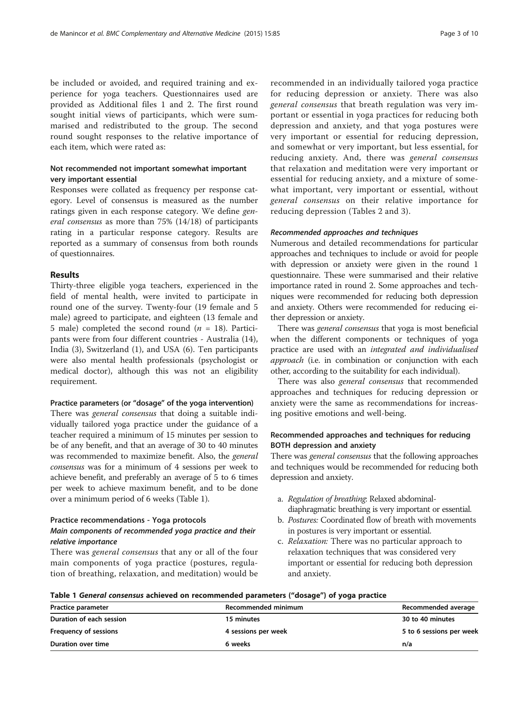be included or avoided, and required training and experience for yoga teachers. Questionnaires used are provided as Additional files [1](#page-8-0) and [2](#page-8-0). The first round sought initial views of participants, which were summarised and redistributed to the group. The second round sought responses to the relative importance of each item, which were rated as:

#### Not recommended not important somewhat important very important essential

Responses were collated as frequency per response category. Level of consensus is measured as the number ratings given in each response category. We define general consensus as more than 75% (14/18) of participants rating in a particular response category. Results are reported as a summary of consensus from both rounds of questionnaires.

#### Results

Thirty-three eligible yoga teachers, experienced in the field of mental health, were invited to participate in round one of the survey. Twenty-four (19 female and 5 male) agreed to participate, and eighteen (13 female and 5 male) completed the second round ( $n = 18$ ). Participants were from four different countries - Australia (14), India (3), Switzerland (1), and USA (6). Ten participants were also mental health professionals (psychologist or medical doctor), although this was not an eligibility requirement.

#### Practice parameters (or "dosage" of the yoga intervention)

There was general consensus that doing a suitable individually tailored yoga practice under the guidance of a teacher required a minimum of 15 minutes per session to be of any benefit, and that an average of 30 to 40 minutes was recommended to maximize benefit. Also, the general consensus was for a minimum of 4 sessions per week to achieve benefit, and preferably an average of 5 to 6 times per week to achieve maximum benefit, and to be done over a minimum period of 6 weeks (Table 1).

#### Practice recommendations - Yoga protocols

#### Main components of recommended yoga practice and their relative importance

There was *general consensus* that any or all of the four main components of yoga practice (postures, regulation of breathing, relaxation, and meditation) would be

recommended in an individually tailored yoga practice for reducing depression or anxiety. There was also general consensus that breath regulation was very important or essential in yoga practices for reducing both depression and anxiety, and that yoga postures were very important or essential for reducing depression, and somewhat or very important, but less essential, for reducing anxiety. And, there was general consensus that relaxation and meditation were very important or essential for reducing anxiety, and a mixture of somewhat important, very important or essential, without general consensus on their relative importance for reducing depression (Tables [2](#page-3-0) and [3\)](#page-4-0).

#### Recommended approaches and techniques

Numerous and detailed recommendations for particular approaches and techniques to include or avoid for people with depression or anxiety were given in the round 1 questionnaire. These were summarised and their relative importance rated in round 2. Some approaches and techniques were recommended for reducing both depression and anxiety. Others were recommended for reducing either depression or anxiety.

There was general consensus that yoga is most beneficial when the different components or techniques of yoga practice are used with an integrated and individualised approach (i.e. in combination or conjunction with each other, according to the suitability for each individual).

There was also general consensus that recommended approaches and techniques for reducing depression or anxiety were the same as recommendations for increasing positive emotions and well-being.

#### Recommended approaches and techniques for reducing BOTH depression and anxiety

There was *general consensus* that the following approaches and techniques would be recommended for reducing both depression and anxiety.

- a. Regulation of breathing: Relaxed abdominaldiaphragmatic breathing is very important or essential.
- b. Postures: Coordinated flow of breath with movements in postures is very important or essential.
- c. Relaxation: There was no particular approach to relaxation techniques that was considered very important or essential for reducing both depression and anxiety.

| Table 1 General consensus achieved on recommended parameters ("dosage") of yoga practice |  |
|------------------------------------------------------------------------------------------|--|
|------------------------------------------------------------------------------------------|--|

| Practice parameter           | Recommended minimum | Recommended average      |
|------------------------------|---------------------|--------------------------|
| Duration of each session     | 15 minutes          | 30 to 40 minutes         |
| <b>Frequency of sessions</b> | 4 sessions per week | 5 to 6 sessions per week |
| Duration over time           | 6 weeks             | n/a                      |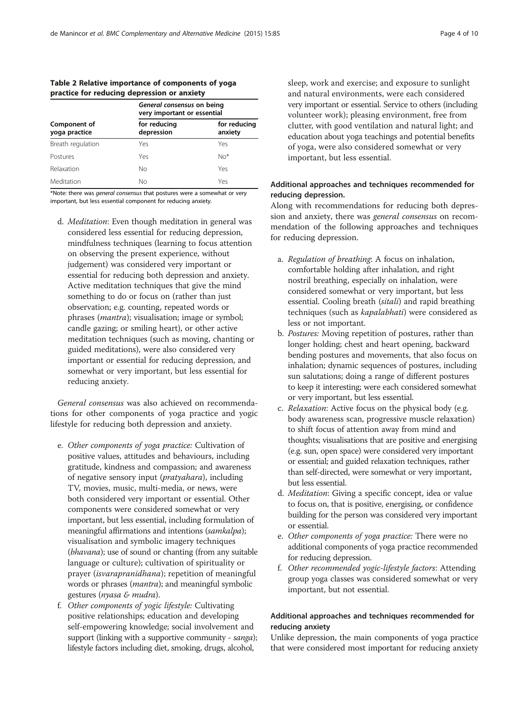#### <span id="page-3-0"></span>Table 2 Relative importance of components of yoga practice for reducing depression or anxiety

|                               | General consensus on being<br>very important or essential |                         |
|-------------------------------|-----------------------------------------------------------|-------------------------|
| Component of<br>yoga practice | for reducing<br>depression                                | for reducing<br>anxiety |
| Breath regulation             | Yes                                                       | Yes                     |
| Postures                      | Yes                                                       | $No*$                   |
| Relaxation                    | No                                                        | Yes                     |
| Meditation                    | Nο                                                        | Yes                     |

\*Note: there was general consensus that postures were a somewhat or very important, but less essential component for reducing anxiety.

d. Meditation: Even though meditation in general was considered less essential for reducing depression, mindfulness techniques (learning to focus attention on observing the present experience, without judgement) was considered very important or essential for reducing both depression and anxiety. Active meditation techniques that give the mind something to do or focus on (rather than just observation; e.g. counting, repeated words or phrases (mantra); visualisation; image or symbol; candle gazing; or smiling heart), or other active meditation techniques (such as moving, chanting or guided meditations), were also considered very important or essential for reducing depression, and somewhat or very important, but less essential for reducing anxiety.

General consensus was also achieved on recommendations for other components of yoga practice and yogic lifestyle for reducing both depression and anxiety.

- e. Other components of yoga practice: Cultivation of positive values, attitudes and behaviours, including gratitude, kindness and compassion; and awareness of negative sensory input (pratyahara), including TV, movies, music, multi-media, or news, were both considered very important or essential. Other components were considered somewhat or very important, but less essential, including formulation of meaningful affirmations and intentions (samkalpa); visualisation and symbolic imagery techniques (*bhavana*); use of sound or chanting (from any suitable language or culture); cultivation of spirituality or prayer (isvarapranidhana); repetition of meaningful words or phrases (*mantra*); and meaningful symbolic gestures (nyasa & mudra).
- f. Other components of yogic lifestyle: Cultivating positive relationships; education and developing self-empowering knowledge; social involvement and support (linking with a supportive community - sanga); lifestyle factors including diet, smoking, drugs, alcohol,

sleep, work and exercise; and exposure to sunlight and natural environments, were each considered very important or essential. Service to others (including volunteer work); pleasing environment, free from clutter, with good ventilation and natural light; and education about yoga teachings and potential benefits of yoga, were also considered somewhat or very important, but less essential.

#### Additional approaches and techniques recommended for reducing depression.

Along with recommendations for reducing both depression and anxiety, there was general consensus on recommendation of the following approaches and techniques for reducing depression.

- a. Regulation of breathing: A focus on inhalation, comfortable holding after inhalation, and right nostril breathing, especially on inhalation, were considered somewhat or very important, but less essential. Cooling breath (sitali) and rapid breathing techniques (such as kapalabhati) were considered as less or not important.
- b. Postures: Moving repetition of postures, rather than longer holding; chest and heart opening, backward bending postures and movements, that also focus on inhalation; dynamic sequences of postures, including sun salutations; doing a range of different postures to keep it interesting; were each considered somewhat or very important, but less essential.
- c. Relaxation: Active focus on the physical body (e.g. body awareness scan, progressive muscle relaxation) to shift focus of attention away from mind and thoughts; visualisations that are positive and energising (e.g. sun, open space) were considered very important or essential; and guided relaxation techniques, rather than self-directed, were somewhat or very important, but less essential.
- d. Meditation: Giving a specific concept, idea or value to focus on, that is positive, energising, or confidence building for the person was considered very important or essential.
- e. Other components of yoga practice: There were no additional components of yoga practice recommended for reducing depression.
- f. Other recommended yogic-lifestyle factors: Attending group yoga classes was considered somewhat or very important, but not essential.

#### Additional approaches and techniques recommended for reducing anxiety

Unlike depression, the main components of yoga practice that were considered most important for reducing anxiety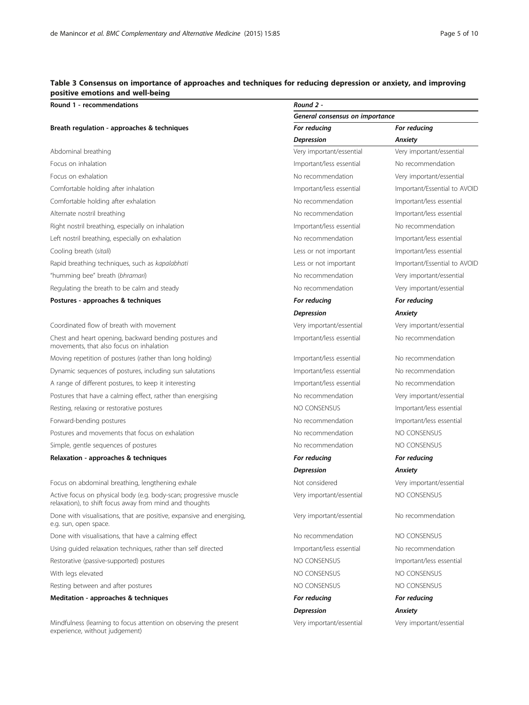#### <span id="page-4-0"></span>Table 3 Consensus on importance of approaches and techniques for reducing depression or anxiety, and improving positive emotions and well-being

| Round 1 - recommendations                                                                                                    | Round 2 -<br>General consensus on importance |                              |  |
|------------------------------------------------------------------------------------------------------------------------------|----------------------------------------------|------------------------------|--|
|                                                                                                                              |                                              |                              |  |
|                                                                                                                              | Depression                                   | Anxiety                      |  |
| Abdominal breathing                                                                                                          | Very important/essential                     | Very important/essential     |  |
| Focus on inhalation                                                                                                          | Important/less essential                     | No recommendation            |  |
| Focus on exhalation                                                                                                          | No recommendation                            | Very important/essential     |  |
| Comfortable holding after inhalation                                                                                         | Important/less essential                     | Important/Essential to AVOID |  |
| Comfortable holding after exhalation                                                                                         | No recommendation                            | Important/less essential     |  |
| Alternate nostril breathing                                                                                                  | No recommendation                            | Important/less essential     |  |
| Right nostril breathing, especially on inhalation                                                                            | Important/less essential                     | No recommendation            |  |
| Left nostril breathing, especially on exhalation                                                                             | No recommendation                            | Important/less essential     |  |
| Cooling breath (sitali)                                                                                                      | Less or not important                        | Important/less essential     |  |
| Rapid breathing techniques, such as kapalabhati                                                                              | Less or not important                        | Important/Essential to AVOID |  |
| "humming bee" breath (bhramari)                                                                                              | No recommendation                            | Very important/essential     |  |
| Regulating the breath to be calm and steady                                                                                  | No recommendation                            | Very important/essential     |  |
| Postures - approaches & techniques                                                                                           | For reducing                                 | For reducing                 |  |
|                                                                                                                              | Depression                                   | Anxiety                      |  |
| Coordinated flow of breath with movement                                                                                     | Very important/essential                     | Very important/essential     |  |
| Chest and heart opening, backward bending postures and<br>movements, that also focus on inhalation                           | Important/less essential                     | No recommendation            |  |
| Moving repetition of postures (rather than long holding)                                                                     | Important/less essential                     | No recommendation            |  |
| Dynamic sequences of postures, including sun salutations                                                                     | Important/less essential                     | No recommendation            |  |
| A range of different postures, to keep it interesting                                                                        | Important/less essential                     | No recommendation            |  |
| Postures that have a calming effect, rather than energising                                                                  | No recommendation                            | Very important/essential     |  |
| Resting, relaxing or restorative postures                                                                                    | NO CONSENSUS                                 | Important/less essential     |  |
| Forward-bending postures                                                                                                     | No recommendation                            | Important/less essential     |  |
| Postures and movements that focus on exhalation                                                                              | No recommendation                            | NO CONSENSUS                 |  |
| Simple, gentle sequences of postures                                                                                         | No recommendation                            | NO CONSENSUS                 |  |
| Relaxation - approaches & techniques                                                                                         | For reducing                                 | For reducing                 |  |
|                                                                                                                              | Depression                                   | Anxiety                      |  |
| Focus on abdominal breathing, lengthening exhale                                                                             | Not considered                               | Very important/essential     |  |
| Active focus on physical body (e.g. body-scan; progressive muscle<br>relaxation), to shift focus away from mind and thoughts | Very important/essential                     | NO CONSENSUS                 |  |
| Done with visualisations, that are positive, expansive and energising,<br>e.g. sun, open space.                              | Very important/essential                     | No recommendation            |  |
| Done with visualisations, that have a calming effect                                                                         | No recommendation                            | NO CONSENSUS                 |  |
| Using guided relaxation techniques, rather than self directed                                                                | Important/less essential                     | No recommendation            |  |
| Restorative (passive-supported) postures                                                                                     | NO CONSENSUS                                 | Important/less essential     |  |
| With legs elevated                                                                                                           | NO CONSENSUS                                 | NO CONSENSUS                 |  |
| Resting between and after postures                                                                                           | NO CONSENSUS                                 | NO CONSENSUS                 |  |
| Meditation - approaches & techniques                                                                                         | For reducing                                 | For reducing                 |  |
|                                                                                                                              | Depression                                   | <b>Anxiety</b>               |  |
| Mindfulness (learning to focus attention on observing the present                                                            | Very important/essential                     | Very important/essential     |  |

Mindfulness (learning to focus attention on observing the present experience, without judgement)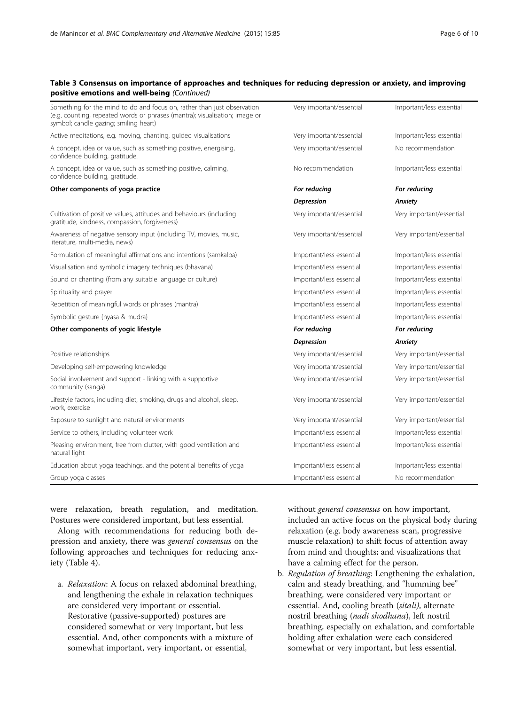#### Table 3 Consensus on importance of approaches and techniques for reducing depression or anxiety, and improving positive emotions and well-being (Continued)

| Something for the mind to do and focus on, rather than just observation<br>(e.g. counting, repeated words or phrases (mantra); visualisation; image or<br>symbol; candle gazing; smiling heart) | Very important/essential | Important/less essential |
|-------------------------------------------------------------------------------------------------------------------------------------------------------------------------------------------------|--------------------------|--------------------------|
| Active meditations, e.g. moving, chanting, guided visualisations                                                                                                                                | Very important/essential | Important/less essential |
| A concept, idea or value, such as something positive, energising,<br>confidence building, gratitude.                                                                                            | Very important/essential | No recommendation        |
| A concept, idea or value, such as something positive, calming,<br>confidence building, gratitude.                                                                                               | No recommendation        | Important/less essential |
| Other components of yoga practice                                                                                                                                                               | For reducing             | For reducing             |
|                                                                                                                                                                                                 | Depression               | <b>Anxiety</b>           |
| Cultivation of positive values, attitudes and behaviours (including<br>gratitude, kindness, compassion, forgiveness)                                                                            | Very important/essential | Very important/essential |
| Awareness of negative sensory input (including TV, movies, music,<br>literature, multi-media, news)                                                                                             | Very important/essential | Very important/essential |
| Formulation of meaningful affirmations and intentions (samkalpa)                                                                                                                                | Important/less essential | Important/less essential |
| Visualisation and symbolic imagery techniques (bhavana)                                                                                                                                         | Important/less essential | Important/less essential |
| Sound or chanting (from any suitable language or culture)                                                                                                                                       | Important/less essential | Important/less essential |
| Spirituality and prayer                                                                                                                                                                         | Important/less essential | Important/less essential |
| Repetition of meaningful words or phrases (mantra)                                                                                                                                              | Important/less essential | Important/less essential |
| Symbolic gesture (nyasa & mudra)                                                                                                                                                                | Important/less essential | Important/less essential |
| Other components of yogic lifestyle                                                                                                                                                             | For reducing             | For reducing             |
|                                                                                                                                                                                                 | <b>Depression</b>        | Anxiety                  |
| Positive relationships                                                                                                                                                                          | Very important/essential | Very important/essential |
| Developing self-empowering knowledge                                                                                                                                                            | Very important/essential | Very important/essential |
| Social involvement and support - linking with a supportive<br>community (sanga)                                                                                                                 | Very important/essential | Very important/essential |
| Lifestyle factors, including diet, smoking, drugs and alcohol, sleep,<br>work, exercise                                                                                                         | Very important/essential | Very important/essential |
| Exposure to sunlight and natural environments                                                                                                                                                   | Very important/essential | Very important/essential |
| Service to others, including volunteer work                                                                                                                                                     | Important/less essential | Important/less essential |
| Pleasing environment, free from clutter, with good ventilation and<br>natural light                                                                                                             | Important/less essential | Important/less essential |
| Education about yoga teachings, and the potential benefits of yoga                                                                                                                              | Important/less essential | Important/less essential |
| Group yoga classes                                                                                                                                                                              | Important/less essential | No recommendation        |

were relaxation, breath regulation, and meditation. Postures were considered important, but less essential.

Along with recommendations for reducing both depression and anxiety, there was general consensus on the following approaches and techniques for reducing anxiety (Table [4](#page-6-0)).

a. Relaxation: A focus on relaxed abdominal breathing, and lengthening the exhale in relaxation techniques are considered very important or essential. Restorative (passive-supported) postures are considered somewhat or very important, but less essential. And, other components with a mixture of somewhat important, very important, or essential,

without *general consensus* on how important, included an active focus on the physical body during relaxation (e.g. body awareness scan, progressive muscle relaxation) to shift focus of attention away from mind and thoughts; and visualizations that have a calming effect for the person.

b. Regulation of breathing: Lengthening the exhalation, calm and steady breathing, and "humming bee" breathing, were considered very important or essential. And, cooling breath (sitali), alternate nostril breathing (nadi shodhana), left nostril breathing, especially on exhalation, and comfortable holding after exhalation were each considered somewhat or very important, but less essential.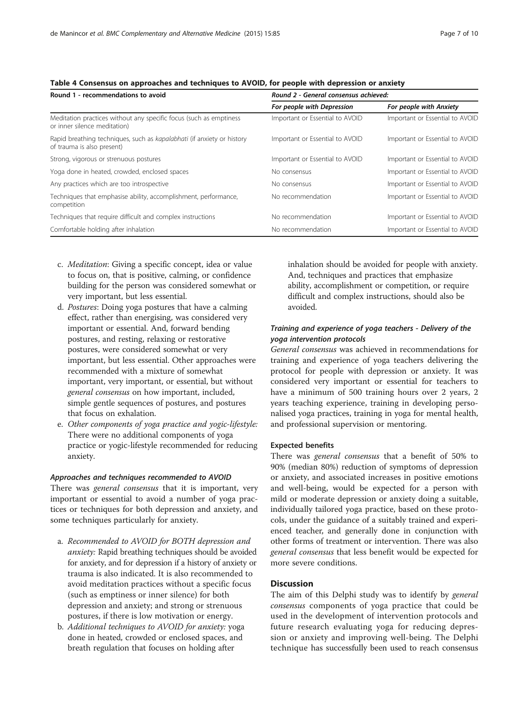| Round 1 - recommendations to avoid                                                                   | Round 2 - General consensus achieved: |                                 |
|------------------------------------------------------------------------------------------------------|---------------------------------------|---------------------------------|
|                                                                                                      | For people with Depression            | For people with Anxiety         |
| Meditation practices without any specific focus (such as emptiness<br>or inner silence meditation)   | Important or Essential to AVOID       | Important or Essential to AVOID |
| Rapid breathing techniques, such as kapalabhati (if anxiety or history<br>of trauma is also present) | Important or Essential to AVOID       | Important or Essential to AVOID |
| Strong, vigorous or strenuous postures                                                               | Important or Essential to AVOID       | Important or Essential to AVOID |
| Yoga done in heated, crowded, enclosed spaces                                                        | No consensus                          | Important or Essential to AVOID |
| Any practices which are too introspective                                                            | No consensus                          | Important or Essential to AVOID |
| Techniques that emphasise ability, accomplishment, performance,<br>competition                       | No recommendation                     | Important or Essential to AVOID |
| Techniques that require difficult and complex instructions                                           | No recommendation                     | Important or Essential to AVOID |
| Comfortable holding after inhalation                                                                 | No recommendation                     | Important or Essential to AVOID |

#### <span id="page-6-0"></span>Table 4 Consensus on approaches and techniques to AVOID, for people with depression or anxiety

- c. Meditation: Giving a specific concept, idea or value to focus on, that is positive, calming, or confidence building for the person was considered somewhat or very important, but less essential.
- d. Postures: Doing yoga postures that have a calming effect, rather than energising, was considered very important or essential. And, forward bending postures, and resting, relaxing or restorative postures, were considered somewhat or very important, but less essential. Other approaches were recommended with a mixture of somewhat important, very important, or essential, but without general consensus on how important, included, simple gentle sequences of postures, and postures that focus on exhalation.
- e. Other components of yoga practice and yogic-lifestyle: There were no additional components of yoga practice or yogic-lifestyle recommended for reducing anxiety.

#### Approaches and techniques recommended to AVOID

There was *general consensus* that it is important, very important or essential to avoid a number of yoga practices or techniques for both depression and anxiety, and some techniques particularly for anxiety.

- a. Recommended to AVOID for BOTH depression and anxiety: Rapid breathing techniques should be avoided for anxiety, and for depression if a history of anxiety or trauma is also indicated. It is also recommended to avoid meditation practices without a specific focus (such as emptiness or inner silence) for both depression and anxiety; and strong or strenuous postures, if there is low motivation or energy.
- b. Additional techniques to AVOID for anxiety: yoga done in heated, crowded or enclosed spaces, and breath regulation that focuses on holding after

inhalation should be avoided for people with anxiety. And, techniques and practices that emphasize ability, accomplishment or competition, or require difficult and complex instructions, should also be avoided.

#### Training and experience of yoga teachers - Delivery of the yoga intervention protocols

General consensus was achieved in recommendations for training and experience of yoga teachers delivering the protocol for people with depression or anxiety. It was considered very important or essential for teachers to have a minimum of 500 training hours over 2 years, 2 years teaching experience, training in developing personalised yoga practices, training in yoga for mental health, and professional supervision or mentoring.

#### Expected benefits

There was general consensus that a benefit of 50% to 90% (median 80%) reduction of symptoms of depression or anxiety, and associated increases in positive emotions and well-being, would be expected for a person with mild or moderate depression or anxiety doing a suitable, individually tailored yoga practice, based on these protocols, under the guidance of a suitably trained and experienced teacher, and generally done in conjunction with other forms of treatment or intervention. There was also general consensus that less benefit would be expected for more severe conditions.

#### **Discussion**

The aim of this Delphi study was to identify by general consensus components of yoga practice that could be used in the development of intervention protocols and future research evaluating yoga for reducing depression or anxiety and improving well-being. The Delphi technique has successfully been used to reach consensus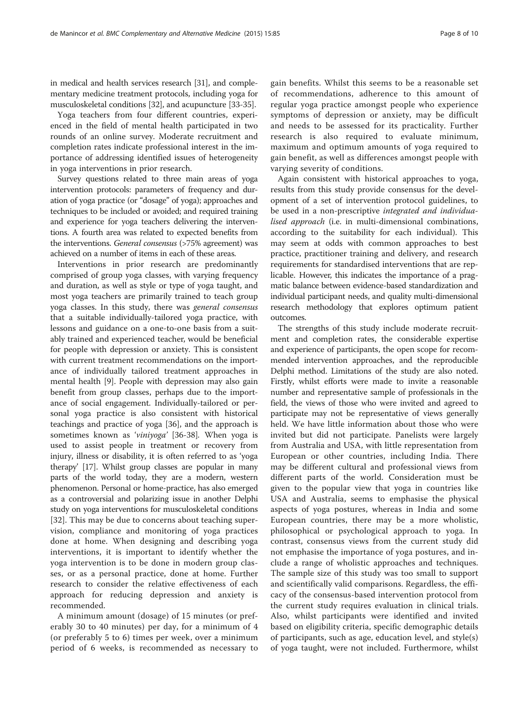in medical and health services research [[31](#page-9-0)], and complementary medicine treatment protocols, including yoga for musculoskeletal conditions [\[32\]](#page-9-0), and acupuncture [[33](#page-9-0)-[35](#page-9-0)].

Yoga teachers from four different countries, experienced in the field of mental health participated in two rounds of an online survey. Moderate recruitment and completion rates indicate professional interest in the importance of addressing identified issues of heterogeneity in yoga interventions in prior research.

Survey questions related to three main areas of yoga intervention protocols: parameters of frequency and duration of yoga practice (or "dosage" of yoga); approaches and techniques to be included or avoided; and required training and experience for yoga teachers delivering the interventions. A fourth area was related to expected benefits from the interventions. General consensus (>75% agreement) was achieved on a number of items in each of these areas.

Interventions in prior research are predominantly comprised of group yoga classes, with varying frequency and duration, as well as style or type of yoga taught, and most yoga teachers are primarily trained to teach group yoga classes. In this study, there was general consensus that a suitable individually-tailored yoga practice, with lessons and guidance on a one-to-one basis from a suitably trained and experienced teacher, would be beneficial for people with depression or anxiety. This is consistent with current treatment recommendations on the importance of individually tailored treatment approaches in mental health [\[9](#page-8-0)]. People with depression may also gain benefit from group classes, perhaps due to the importance of social engagement. Individually-tailored or personal yoga practice is also consistent with historical teachings and practice of yoga [\[36](#page-9-0)], and the approach is sometimes known as 'viniyoga' [[36-38\]](#page-9-0). When yoga is used to assist people in treatment or recovery from injury, illness or disability, it is often referred to as 'yoga therapy' [[17](#page-8-0)]. Whilst group classes are popular in many parts of the world today, they are a modern, western phenomenon. Personal or home-practice, has also emerged as a controversial and polarizing issue in another Delphi study on yoga interventions for musculoskeletal conditions [[32\]](#page-9-0). This may be due to concerns about teaching supervision, compliance and monitoring of yoga practices done at home. When designing and describing yoga interventions, it is important to identify whether the yoga intervention is to be done in modern group classes, or as a personal practice, done at home. Further research to consider the relative effectiveness of each approach for reducing depression and anxiety is recommended.

A minimum amount (dosage) of 15 minutes (or preferably 30 to 40 minutes) per day, for a minimum of 4 (or preferably 5 to 6) times per week, over a minimum period of 6 weeks, is recommended as necessary to

gain benefits. Whilst this seems to be a reasonable set of recommendations, adherence to this amount of regular yoga practice amongst people who experience symptoms of depression or anxiety, may be difficult and needs to be assessed for its practicality. Further research is also required to evaluate minimum, maximum and optimum amounts of yoga required to gain benefit, as well as differences amongst people with varying severity of conditions.

Again consistent with historical approaches to yoga, results from this study provide consensus for the development of a set of intervention protocol guidelines, to be used in a non-prescriptive integrated and individualised approach (i.e. in multi-dimensional combinations, according to the suitability for each individual). This may seem at odds with common approaches to best practice, practitioner training and delivery, and research requirements for standardised interventions that are replicable. However, this indicates the importance of a pragmatic balance between evidence-based standardization and individual participant needs, and quality multi-dimensional research methodology that explores optimum patient outcomes.

The strengths of this study include moderate recruitment and completion rates, the considerable expertise and experience of participants, the open scope for recommended intervention approaches, and the reproducible Delphi method. Limitations of the study are also noted. Firstly, whilst efforts were made to invite a reasonable number and representative sample of professionals in the field, the views of those who were invited and agreed to participate may not be representative of views generally held. We have little information about those who were invited but did not participate. Panelists were largely from Australia and USA, with little representation from European or other countries, including India. There may be different cultural and professional views from different parts of the world. Consideration must be given to the popular view that yoga in countries like USA and Australia, seems to emphasise the physical aspects of yoga postures, whereas in India and some European countries, there may be a more wholistic, philosophical or psychological approach to yoga. In contrast, consensus views from the current study did not emphasise the importance of yoga postures, and include a range of wholistic approaches and techniques. The sample size of this study was too small to support and scientifically valid comparisons. Regardless, the efficacy of the consensus-based intervention protocol from the current study requires evaluation in clinical trials. Also, whilst participants were identified and invited based on eligibility criteria, specific demographic details of participants, such as age, education level, and style(s) of yoga taught, were not included. Furthermore, whilst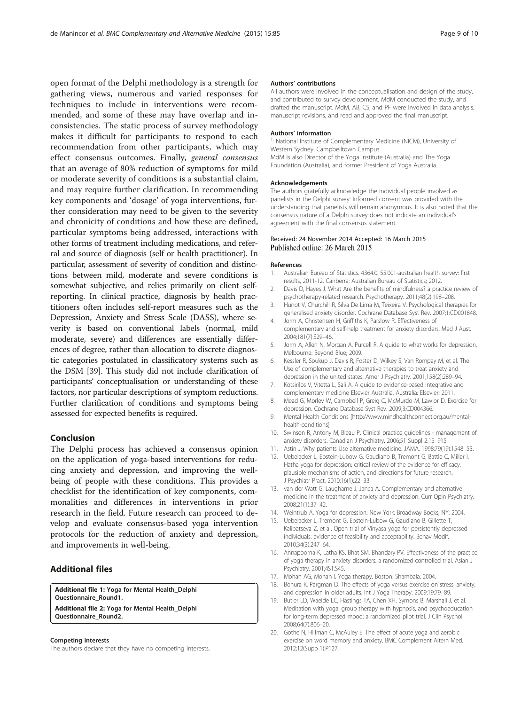<span id="page-8-0"></span>open format of the Delphi methodology is a strength for gathering views, numerous and varied responses for techniques to include in interventions were recommended, and some of these may have overlap and inconsistencies. The static process of survey methodology makes it difficult for participants to respond to each recommendation from other participants, which may effect consensus outcomes. Finally, general consensus that an average of 80% reduction of symptoms for mild or moderate severity of conditions is a substantial claim, and may require further clarification. In recommending key components and 'dosage' of yoga interventions, further consideration may need to be given to the severity and chronicity of conditions and how these are defined, particular symptoms being addressed, interactions with other forms of treatment including medications, and referral and source of diagnosis (self or health practitioner). In particular, assessment of severity of condition and distinctions between mild, moderate and severe conditions is somewhat subjective, and relies primarily on client selfreporting. In clinical practice, diagnosis by health practitioners often includes self-report measures such as the Depression, Anxiety and Stress Scale (DASS), where severity is based on conventional labels (normal, mild moderate, severe) and differences are essentially differences of degree, rather than allocation to discrete diagnostic categories postulated in classificatory systems such as the DSM [[39](#page-9-0)]. This study did not include clarification of participants' conceptualisation or understanding of these factors, nor particular descriptions of symptom reductions. Further clarification of conditions and symptoms being assessed for expected benefits is required.

#### Conclusion

The Delphi process has achieved a consensus opinion on the application of yoga-based interventions for reducing anxiety and depression, and improving the wellbeing of people with these conditions. This provides a checklist for the identification of key components, commonalities and differences in interventions in prior research in the field. Future research can proceed to develop and evaluate consensus-based yoga intervention protocols for the reduction of anxiety and depression, and improvements in well-being.

#### Additional files

[Additional file 1:](http://www.biomedcentral.com/content/supplementary/s12906-015-0614-7-s1.pdf) Yoga for Mental Health\_Delphi Questionnaire\_Round1. [Additional file 2:](http://www.biomedcentral.com/content/supplementary/s12906-015-0614-7-s2.pdf) Yoga for Mental Health\_Delphi Questionnaire\_Round2.

#### Competing interests

The authors declare that they have no competing interests.

#### Authors' contributions

All authors were involved in the conceptualisation and design of the study, and contributed to survey development. MdM conducted the study, and drafted the manuscript. MdM, AB, CS, and PF were involved in data analysis, manuscript revisions, and read and approved the final manuscript.

Authors' information<br><sup>1.</sup> National Institute of Complementary Medicine (NICM), University of Western Sydney, Campbelltown Campus MdM is also Director of the Yoga Institute (Australia) and The Yoga Foundation (Australia), and former President of Yoga Australia.

#### Acknowledgements

The authors gratefully acknowledge the individual people involved as panelists in the Delphi survey. Informed consent was provided with the understanding that panelists will remain anonymous. It is also noted that the consensus nature of a Delphi survey does not indicate an individual's agreement with the final consensus statement.

# Received: 24 November 2014 Accepted: 16 March 2015

#### References

- 1. Australian Bureau of Statistics. 4364.0. 55.001-australian health survey: first results, 2011-12. Canberra: Australian Bureau of Statistics; 2012.
- 2. Davis D, Hayes J. What Are the benefits of mindfulness? a practice review of psychotherapy-related research. Psychotherapy. 2011;48(2):198–208.
- 3. Hunot V, Churchill R, Silva De Lima M, Teixeira V. Psychological therapies for generalised anxiety disorder. Cochrane Database Syst Rev. 2007;1:CD001848.
- 4. Jorm A, Christensen H, Griffiths K, Parslow R. Effectiveness of complementary and self-help treatment for anxiety disorders. Med J Aust. 2004;181(7):S29–46.
- 5. Jorm A, Allen N, Morgan A, Purcell R. A guide to what works for depression. Melbourne: Beyond Blue; 2009.
- 6. Kessler R, Soukup J, Davis R, Foster D, Wilkey S, Van Rompay M, et al. The Use of complementary and alternative therapies to treat anxiety and depression in the united states. Amer J Psychiatry. 2001;158(2):289–94.
- 7. Kotsirilos V, Vitetta L, Sali A. A guide to evidence-based integrative and complementary medicine Elsevier Australia. Australia: Elsevier; 2011.
- 8. Mead G, Morley W, Campbell P, Greig C, McMurdo M, Lawlor D. Exercise for depression. Cochrane Database Syst Rev. 2009;3:CD004366.
- 9. Mental Health Conditions [[http://www.mindhealthconnect.org.au/mental](http://www.mindhealthconnect.org.au/mental-health-conditions)[health-conditions](http://www.mindhealthconnect.org.au/mental-health-conditions)]
- 10. Swinson R, Antony M, Bleau P. Clinical practice guidelines management of anxiety disorders. Canadian J Psychiatry. 2006;51 Suppl 2:1S–91S.
- 11. Astin J. Why patients Use alternative medicine. JAMA. 1998;79(19):1548–53. 12. Uebelacker L, Epstein-Lubow G, Gaudiano B, Tremont G, Battle C, Miller I.
- Hatha yoga for depression: critical review of the evidence for efficacy, plausible mechanisms of action, and directions for future research. J Psychiatr Pract. 2010;16(1):22–33.
- 13. van der Watt G, Laugharne J, Janca A. Complementary and alternative medicine in the treatment of anxiety and depression. Curr Opin Psychiatry. 2008;21(1):37–42.
- 14. Weintrub A. Yoga for depression. New York: Broadway Books, NY; 2004.
- 15. Uebelacker L, Tremont G, Epstein-Lubow G, Gaudiano B, Gillette T, Kalibatseva Z, et al. Open trial of Vinyasa yoga for persistently depressed individuals: evidence of feasibility and acceptability. Behav Modif. 2010;34(3):247–64.
- 16. Annapoorna K, Latha KS, Bhat SM, Bhandary PV. Effectiveness of the practice of yoga therapy in anxiety disorders: a randomized controlled trial. Asian J Psychiatry. 2001;4S1:S45.
- 17. Mohan AG, Mohan I. Yoga therapy. Boston: Shambala; 2004.
- 18. Bonura K, Pargman D. The effects of yoga versus exercise on stress, anxiety, and depression in older adults. Int J Yoga Therapy. 2009;19:79–89.
- 19. Butler LD, Waelde LC, Hastings TA, Chen XH, Symons B, Marshall J, et al. Meditation with yoga, group therapy with hypnosis, and psychoeducation for long-term depressed mood: a randomized pilot trial. J Clin Psychol. 2008;64(7):806–20.
- 20. Gothe N, Hillman C, McAuley E. The effect of acute yoga and aerobic exercise on word memory and anxiety. BMC Complement Altern Med. 2012;12(Supp 1):P127.